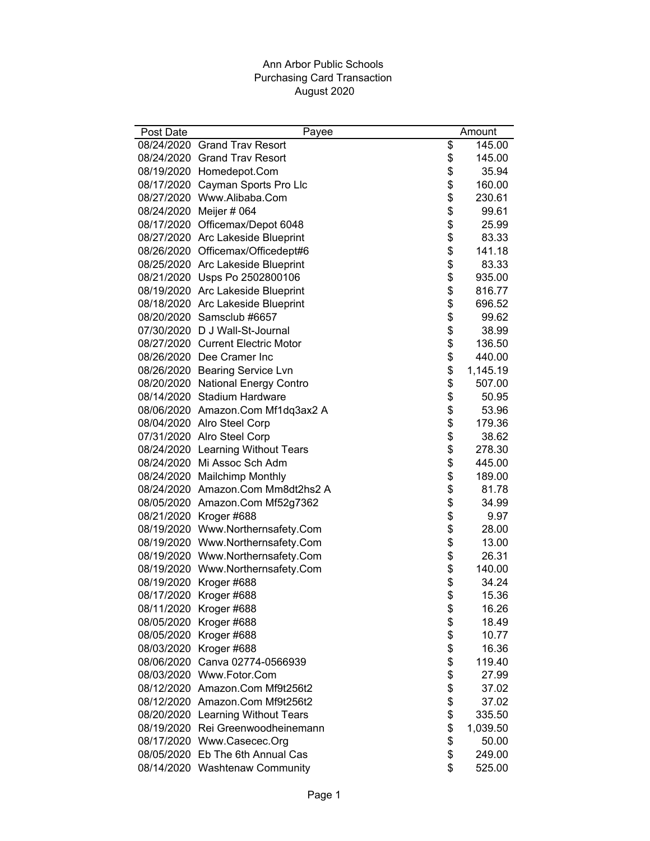## Ann Arbor Public Schools Purchasing Card Transaction August 2020

| Post Date | Payee                             | Amount         |
|-----------|-----------------------------------|----------------|
|           | 08/24/2020 Grand Trav Resort      | \$<br>145.00   |
|           | 08/24/2020 Grand Trav Resort      | \$<br>145.00   |
|           | 08/19/2020 Homedepot.Com          | \$<br>35.94    |
|           | 08/17/2020 Cayman Sports Pro Llc  | \$<br>160.00   |
|           | 08/27/2020 Www.Alibaba.Com        | \$<br>230.61   |
|           | 08/24/2020 Meijer # 064           | \$<br>99.61    |
|           | 08/17/2020 Officemax/Depot 6048   | \$<br>25.99    |
|           | 08/27/2020 Arc Lakeside Blueprint | \$<br>83.33    |
|           | 08/26/2020 Officemax/Officedept#6 | \$<br>141.18   |
|           | 08/25/2020 Arc Lakeside Blueprint | \$<br>83.33    |
|           | 08/21/2020 Usps Po 2502800106     | \$<br>935.00   |
|           | 08/19/2020 Arc Lakeside Blueprint | \$<br>816.77   |
|           | 08/18/2020 Arc Lakeside Blueprint | \$<br>696.52   |
|           | 08/20/2020 Samsclub #6657         | \$<br>99.62    |
|           | 07/30/2020 D J Wall-St-Journal    | \$<br>38.99    |
|           | 08/27/2020 Current Electric Motor | \$<br>136.50   |
|           | 08/26/2020 Dee Cramer Inc         | \$<br>440.00   |
|           | 08/26/2020 Bearing Service Lvn    | \$<br>1,145.19 |
|           | 08/20/2020 National Energy Contro | \$<br>507.00   |
|           | 08/14/2020 Stadium Hardware       | \$<br>50.95    |
|           | 08/06/2020 Amazon.Com Mf1dq3ax2 A | \$<br>53.96    |
|           | 08/04/2020 Alro Steel Corp        | \$<br>179.36   |
|           | 07/31/2020 Alro Steel Corp        | \$<br>38.62    |
|           | 08/24/2020 Learning Without Tears | \$<br>278.30   |
|           | 08/24/2020 Mi Assoc Sch Adm       | \$<br>445.00   |
|           | 08/24/2020 Mailchimp Monthly      | \$<br>189.00   |
|           | 08/24/2020 Amazon.Com Mm8dt2hs2 A | \$<br>81.78    |
|           | 08/05/2020 Amazon.Com Mf52g7362   | \$<br>34.99    |
|           | 08/21/2020 Kroger #688            | \$<br>9.97     |
|           | 08/19/2020 Www.Northernsafety.Com | \$<br>28.00    |
|           | 08/19/2020 Www.Northernsafety.Com | \$<br>13.00    |
|           | 08/19/2020 Www.Northernsafety.Com | \$<br>26.31    |
|           | 08/19/2020 Www.Northernsafety.Com | \$<br>140.00   |
|           | 08/19/2020 Kroger #688            | \$<br>34.24    |
|           | 08/17/2020 Kroger #688            | \$<br>15.36    |
|           | 08/11/2020 Kroger #688            | \$<br>16.26    |
|           | 08/05/2020 Kroger #688            | \$<br>18.49    |
|           | 08/05/2020 Kroger #688            | \$<br>10.77    |
|           | 08/03/2020 Kroger #688            | \$<br>16.36    |
|           | 08/06/2020 Canva 02774-0566939    | \$<br>119.40   |
|           | 08/03/2020 Www.Fotor.Com          | \$<br>27.99    |
|           | 08/12/2020 Amazon.Com Mf9t256t2   | \$<br>37.02    |
|           | 08/12/2020 Amazon.Com Mf9t256t2   | \$<br>37.02    |
|           | 08/20/2020 Learning Without Tears | \$<br>335.50   |
|           | 08/19/2020 Rei Greenwoodheinemann | \$<br>1,039.50 |
|           | 08/17/2020 Www.Casecec.Org        | \$<br>50.00    |
|           | 08/05/2020 Eb The 6th Annual Cas  | \$<br>249.00   |
|           | 08/14/2020 Washtenaw Community    | \$<br>525.00   |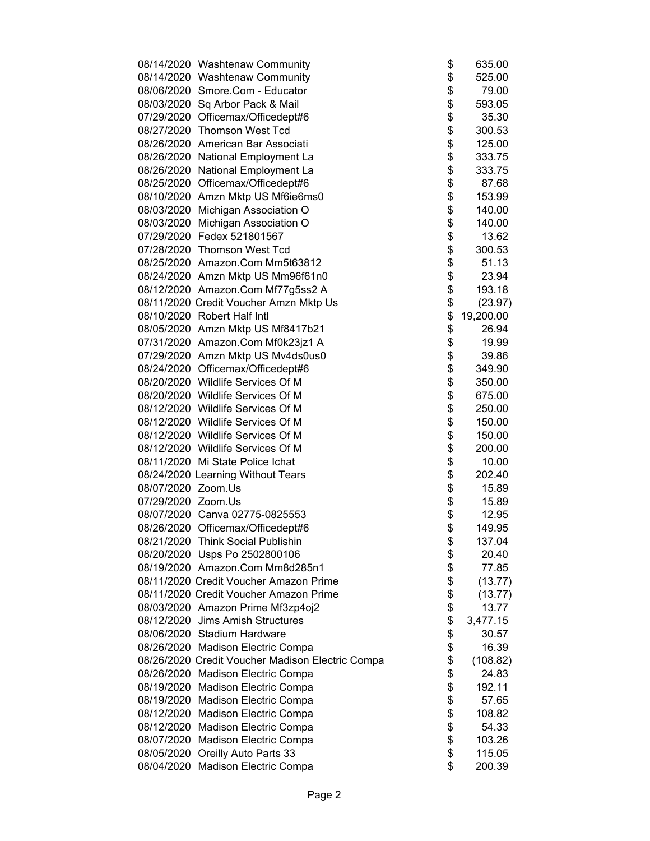|                    | 08/14/2020 Washtenaw Community                                        | \$       | 635.00           |
|--------------------|-----------------------------------------------------------------------|----------|------------------|
|                    | 08/14/2020 Washtenaw Community                                        | \$       | 525.00           |
|                    | 08/06/2020 Smore.Com - Educator                                       | \$       | 79.00            |
|                    | 08/03/2020 Sq Arbor Pack & Mail                                       | \$       | 593.05           |
|                    | 07/29/2020 Officemax/Officedept#6                                     | \$       | 35.30            |
|                    | 08/27/2020 Thomson West Tcd                                           | \$       | 300.53           |
|                    | 08/26/2020 American Bar Associati                                     | \$       | 125.00           |
|                    | 08/26/2020 National Employment La                                     | \$       | 333.75           |
|                    | 08/26/2020 National Employment La                                     | \$       | 333.75           |
|                    | 08/25/2020 Officemax/Officedept#6                                     | \$       | 87.68            |
|                    | 08/10/2020 Amzn Mktp US Mf6ie6ms0                                     | \$       | 153.99           |
|                    | 08/03/2020 Michigan Association O                                     | \$       | 140.00           |
|                    | 08/03/2020 Michigan Association O                                     | \$       | 140.00           |
|                    | 07/29/2020 Fedex 521801567                                            | \$       | 13.62            |
|                    | 07/28/2020 Thomson West Tcd                                           | \$       | 300.53           |
|                    | 08/25/2020 Amazon.Com Mm5t63812                                       | \$       | 51.13            |
|                    | 08/24/2020 Amzn Mktp US Mm96f61n0                                     | \$       | 23.94            |
|                    | 08/12/2020 Amazon.Com Mf77g5ss2 A                                     | \$       | 193.18           |
|                    | 08/11/2020 Credit Voucher Amzn Mktp Us                                | \$       | (23.97)          |
|                    | 08/10/2020 Robert Half Intl                                           | \$       | 19,200.00        |
|                    | 08/05/2020 Amzn Mktp US Mf8417b21                                     | \$       | 26.94            |
|                    | 07/31/2020 Amazon.Com Mf0k23jz1 A                                     | \$       | 19.99            |
|                    | 07/29/2020 Amzn Mktp US Mv4ds0us0                                     | \$       | 39.86            |
|                    | 08/24/2020 Officemax/Officedept#6                                     | \$       | 349.90           |
|                    | 08/20/2020 Wildlife Services Of M                                     | \$       | 350.00           |
|                    | 08/20/2020 Wildlife Services Of M                                     | \$       | 675.00           |
|                    | 08/12/2020 Wildlife Services Of M                                     | \$       | 250.00           |
|                    | 08/12/2020 Wildlife Services Of M                                     | \$       | 150.00           |
|                    | 08/12/2020 Wildlife Services Of M                                     | \$       | 150.00           |
|                    | 08/12/2020 Wildlife Services Of M                                     | \$       | 200.00           |
|                    | 08/11/2020 Mi State Police Ichat                                      | \$       | 10.00            |
|                    | 08/24/2020 Learning Without Tears                                     | \$       | 202.40           |
| 08/07/2020 Zoom.Us |                                                                       | \$       | 15.89            |
| 07/29/2020 Zoom.Us |                                                                       | \$       | 15.89            |
|                    | 08/07/2020 Canva 02775-0825553                                        | \$       | 12.95            |
|                    | 08/26/2020 Officemax/Officedept#6                                     | \$       | 149.95           |
|                    | 08/21/2020 Think Social Publishin                                     | \$       | 137.04           |
|                    | 08/20/2020 Usps Po 2502800106                                         | \$       | 20.40            |
|                    | 08/19/2020 Amazon.Com Mm8d285n1                                       | \$       | 77.85            |
|                    | 08/11/2020 Credit Voucher Amazon Prime                                | \$       | (13.77)          |
|                    | 08/11/2020 Credit Voucher Amazon Prime                                | \$       | (13.77)          |
|                    | 08/03/2020 Amazon Prime Mf3zp4oj2                                     | \$       | 13.77            |
|                    | 08/12/2020 Jims Amish Structures                                      | \$       | 3,477.15         |
|                    | 08/06/2020 Stadium Hardware                                           | \$       | 30.57            |
|                    | 08/26/2020 Madison Electric Compa                                     | \$       | 16.39            |
|                    | 08/26/2020 Credit Voucher Madison Electric Compa                      | \$       | (108.82)         |
|                    | 08/26/2020 Madison Electric Compa                                     | \$       | 24.83            |
|                    | 08/19/2020 Madison Electric Compa                                     | \$       | 192.11           |
|                    | 08/19/2020 Madison Electric Compa                                     | \$       | 57.65            |
|                    | 08/12/2020 Madison Electric Compa                                     | \$       | 108.82           |
|                    | 08/12/2020 Madison Electric Compa                                     | \$<br>\$ | 54.33            |
|                    | 08/07/2020 Madison Electric Compa                                     | \$       | 103.26<br>115.05 |
|                    | 08/05/2020 Oreilly Auto Parts 33<br>08/04/2020 Madison Electric Compa | \$       | 200.39           |
|                    |                                                                       |          |                  |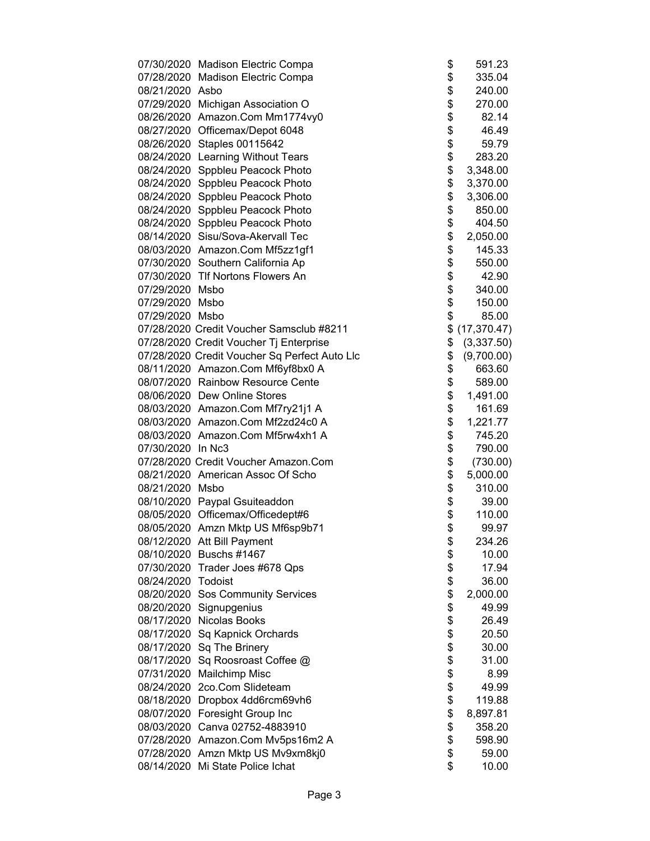|                    | 07/30/2020 Madison Electric Compa             | \$       | 591.23       |
|--------------------|-----------------------------------------------|----------|--------------|
|                    | 07/28/2020 Madison Electric Compa             | \$       | 335.04       |
| 08/21/2020 Asbo    |                                               | \$       | 240.00       |
|                    | 07/29/2020 Michigan Association O             | \$       | 270.00       |
|                    | 08/26/2020 Amazon.Com Mm1774vy0               | \$       | 82.14        |
|                    | 08/27/2020 Officemax/Depot 6048               | \$       | 46.49        |
|                    | 08/26/2020 Staples 00115642                   | \$       | 59.79        |
|                    | 08/24/2020 Learning Without Tears             | \$       | 283.20       |
|                    | 08/24/2020 Sppbleu Peacock Photo              | \$       | 3,348.00     |
|                    | 08/24/2020 Sppbleu Peacock Photo              | \$       | 3,370.00     |
|                    | 08/24/2020 Sppbleu Peacock Photo              | \$       | 3,306.00     |
|                    | 08/24/2020 Sppbleu Peacock Photo              | \$       | 850.00       |
|                    | 08/24/2020 Sppbleu Peacock Photo              | \$       | 404.50       |
|                    | 08/14/2020 Sisu/Sova-Akervall Tec             | \$       | 2,050.00     |
|                    | 08/03/2020 Amazon.Com Mf5zz1gf1               | \$       | 145.33       |
|                    | 07/30/2020 Southern California Ap             | \$       | 550.00       |
|                    | 07/30/2020 Tlf Nortons Flowers An             |          | 42.90        |
| 07/29/2020 Msbo    |                                               | \$<br>\$ | 340.00       |
| 07/29/2020 Msbo    |                                               | \$       | 150.00       |
| 07/29/2020 Msbo    |                                               | \$       | 85.00        |
|                    | 07/28/2020 Credit Voucher Samsclub #8211      | \$       | (17, 370.47) |
|                    | 07/28/2020 Credit Voucher Tj Enterprise       | \$       | (3,337.50)   |
|                    | 07/28/2020 Credit Voucher Sq Perfect Auto Llc | \$       | (9,700.00)   |
|                    | 08/11/2020 Amazon.Com Mf6yf8bx0 A             | \$       | 663.60       |
|                    | 08/07/2020 Rainbow Resource Cente             | \$       | 589.00       |
|                    | 08/06/2020 Dew Online Stores                  | \$       | 1,491.00     |
|                    | 08/03/2020 Amazon.Com Mf7ry21j1 A             | \$       | 161.69       |
|                    | 08/03/2020 Amazon.Com Mf2zd24c0 A             | \$       | 1,221.77     |
|                    | 08/03/2020 Amazon.Com Mf5rw4xh1 A             | \$       | 745.20       |
| 07/30/2020 In Nc3  |                                               | \$       | 790.00       |
|                    | 07/28/2020 Credit Voucher Amazon.Com          | \$       | (730.00)     |
|                    | 08/21/2020 American Assoc Of Scho             | \$       | 5,000.00     |
| 08/21/2020 Msbo    |                                               | \$       | 310.00       |
|                    | 08/10/2020 Paypal Gsuiteaddon                 | \$       | 39.00        |
|                    | 08/05/2020 Officemax/Officedept#6             | \$       | 110.00       |
|                    | 08/05/2020 Amzn Mktp US Mf6sp9b71             | \$       | 99.97        |
|                    | 08/12/2020 Att Bill Payment                   | \$       | 234.26       |
|                    | 08/10/2020 Buschs #1467                       | \$       | 10.00        |
|                    | 07/30/2020 Trader Joes #678 Qps               | \$       | 17.94        |
| 08/24/2020 Todoist |                                               | \$       | 36.00        |
|                    | 08/20/2020 Sos Community Services             | \$       | 2,000.00     |
|                    | 08/20/2020 Signupgenius                       | \$       | 49.99        |
|                    | 08/17/2020 Nicolas Books                      | \$       | 26.49        |
|                    | 08/17/2020 Sq Kapnick Orchards                | \$       | 20.50        |
|                    | 08/17/2020 Sq The Brinery                     | \$       | 30.00        |
|                    | 08/17/2020 Sq Roosroast Coffee @              | \$       | 31.00        |
|                    | 07/31/2020 Mailchimp Misc                     | \$       | 8.99         |
|                    | 08/24/2020 2co.Com Slideteam                  | \$       | 49.99        |
|                    | 08/18/2020 Dropbox 4dd6rcm69vh6               | \$       | 119.88       |
|                    | 08/07/2020 Foresight Group Inc                | \$       | 8,897.81     |
|                    | 08/03/2020 Canva 02752-4883910                | \$       | 358.20       |
|                    | 07/28/2020 Amazon.Com Mv5ps16m2 A             | \$       | 598.90       |
|                    | 07/28/2020 Amzn Mktp US Mv9xm8kj0             | \$       | 59.00        |
|                    | 08/14/2020 Mi State Police Ichat              | \$       | 10.00        |